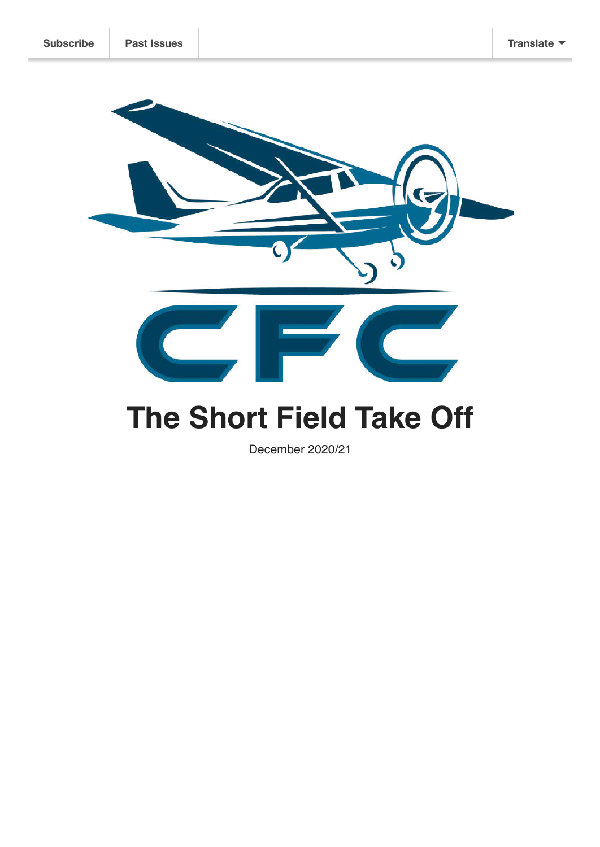

# **The Short Field Take Off**

December 2020/21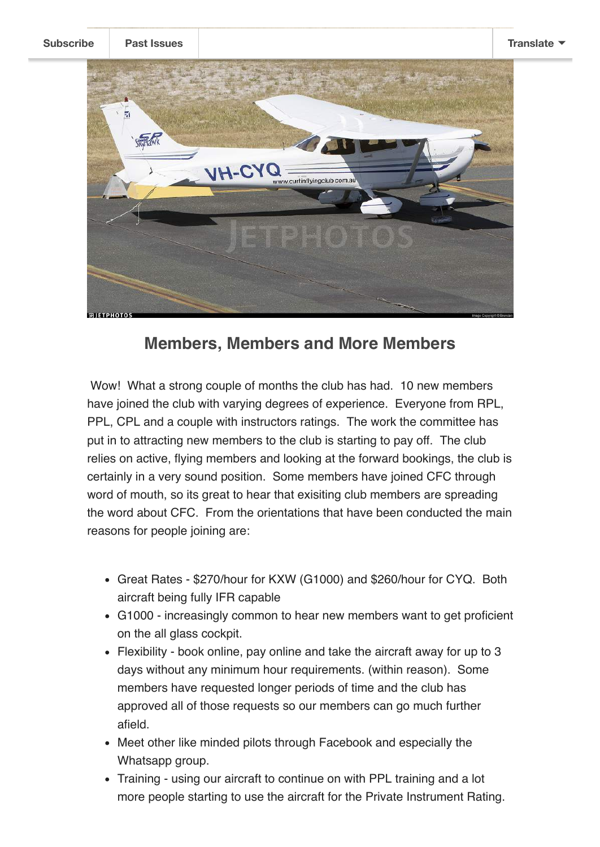**[Subscribe](http://eepurl.com/grzxnr) Past [Issues](https://us20.campaign-archive.com/home/?u=3afafa1ce8303d8f407855a13&id=6f59086b82) [Translate](javascript:;)**



### **Members, Members and More Members**

 Wow! What a strong couple of months the club has had. 10 new members have joined the club with varying degrees of experience. Everyone from RPL, PPL, CPL and a couple with instructors ratings. The work the committee has put in to attracting new members to the club is starting to pay off. The club relies on active, flying members and looking at the forward bookings, the club is certainly in a very sound position. Some members have joined CFC through word of mouth, so its great to hear that exisiting club members are spreading the word about CFC. From the orientations that have been conducted the main reasons for people joining are:

- Great Rates \$270/hour for KXW (G1000) and \$260/hour for CYQ. Both aircraft being fully IFR capable
- G1000 increasingly common to hear new members want to get proficient on the all glass cockpit.
- Flexibility book online, pay online and take the aircraft away for up to 3 days without any minimum hour requirements. (within reason). Some members have requested longer periods of time and the club has approved all of those requests so our members can go much further afield.
- Meet other like minded pilots through Facebook and especially the Whatsapp group.
- Training using our aircraft to continue on with PPL training and a lot more people starting to use the aircraft for the Private Instrument Rating.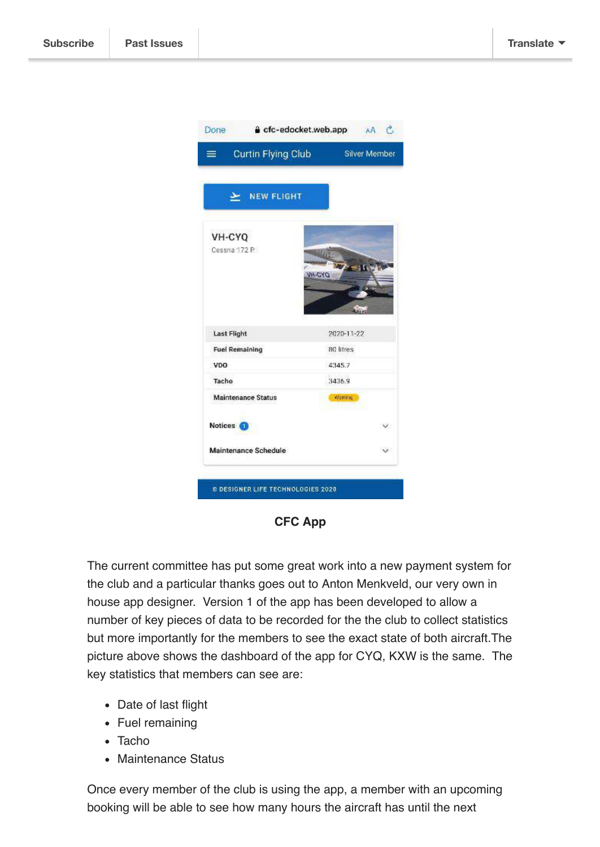

**CFC App**

The current committee has put some great work into a new payment system for the club and a particular thanks goes out to Anton Menkveld, our very own in house app designer. Version 1 of the app has been developed to allow a number of key pieces of data to be recorded for the the club to collect statistics but more importantly for the members to see the exact state of both aircraft.The picture above shows the dashboard of the app for CYQ, KXW is the same. The key statistics that members can see are:

- Date of last flight
- Fuel remaining
- Tacho
- Maintenance Status

Once every member of the club is using the app, a member with an upcoming booking will be able to see how many hours the aircraft has until the next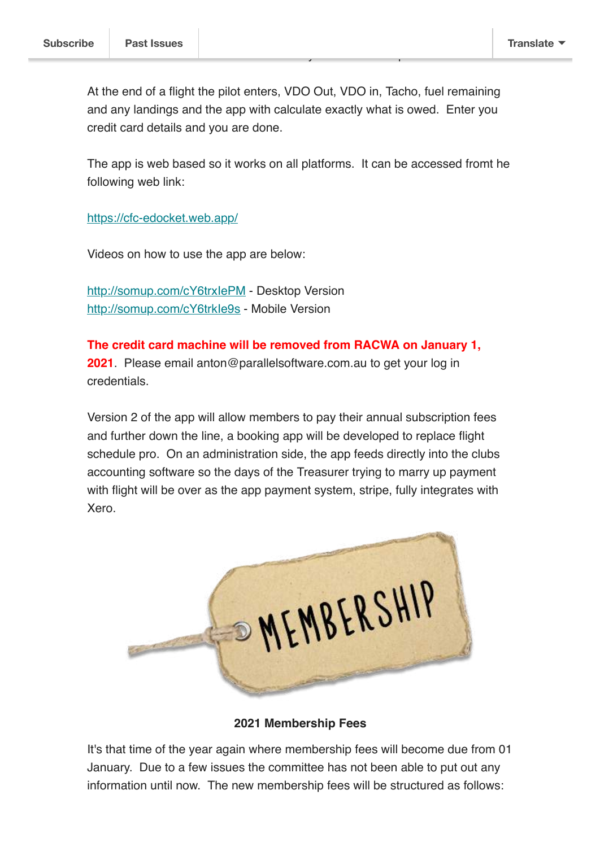At the end of a flight the pilot enters, VDO Out, VDO in, Tacho, fuel remaining and any landings and the app with calculate exactly what is owed. Enter you credit card details and you are done.

The app is web based so it works on all platforms. It can be accessed fromt he following web link:

<https://cfc-edocket.web.app/>

Videos on how to use the app are below:

<http://somup.com/cY6trxIePM>- Desktop Version http://somup.com/cY6trkle9s - Mobile Version

**The credit card machine will be removed from RACWA on January 1, 2021**. Please email anton@parallelsoftware.com.au to get your log in credentials.

Version 2 of the app will allow members to pay their annual subscription fees and further down the line, a booking app will be developed to replace flight schedule pro. On an administration side, the app feeds directly into the clubs accounting software so the days of the Treasurer trying to marry up payment with flight will be over as the app payment system, stripe, fully integrates with Xero.



**2021 Membership Fees**

It's that time of the year again where membership fees will become due from 01 January. Due to a few issues the committee has not been able to put out any information until now. The new membership fees will be structured as follows: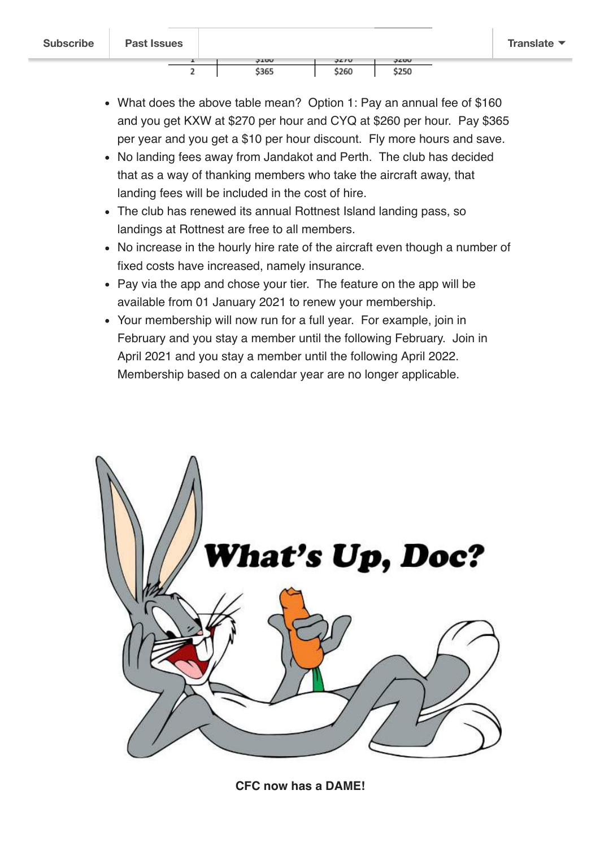- What does the above table mean? Option 1: Pay an annual fee of \$160 and you get KXW at \$270 per hour and CYQ at \$260 per hour. Pay \$365 per year and you get a \$10 per hour discount. Fly more hours and save.
- No landing fees away from Jandakot and Perth. The club has decided that as a way of thanking members who take the aircraft away, that landing fees will be included in the cost of hire.
- The club has renewed its annual Rottnest Island landing pass, so landings at Rottnest are free to all members.
- No increase in the hourly hire rate of the aircraft even though a number of fixed costs have increased, namely insurance.
- Pay via the app and chose your tier. The feature on the app will be available from 01 January 2021 to renew your membership.
- Your membership will now run for a full year. For example, join in February and you stay a member until the following February. Join in April 2021 and you stay a member until the following April 2022. Membership based on a calendar year are no longer applicable.



**CFC now has a DAME!**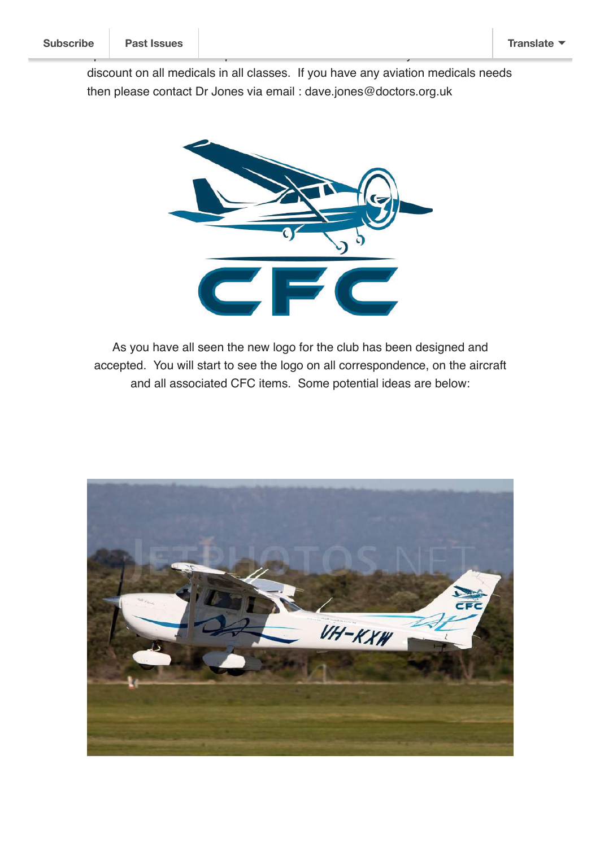discount on all medicals in all classes. If you have any aviation medicals needs then please contact Dr Jones via email : dave.jones@doctors.org.uk

operates out of the GP super-clinic in Midland and has kindly offered a 10%



As you have all seen the new logo for the club has been designed and accepted. You will start to see the logo on all correspondence, on the aircraft and all associated CFC items. Some potential ideas are below:

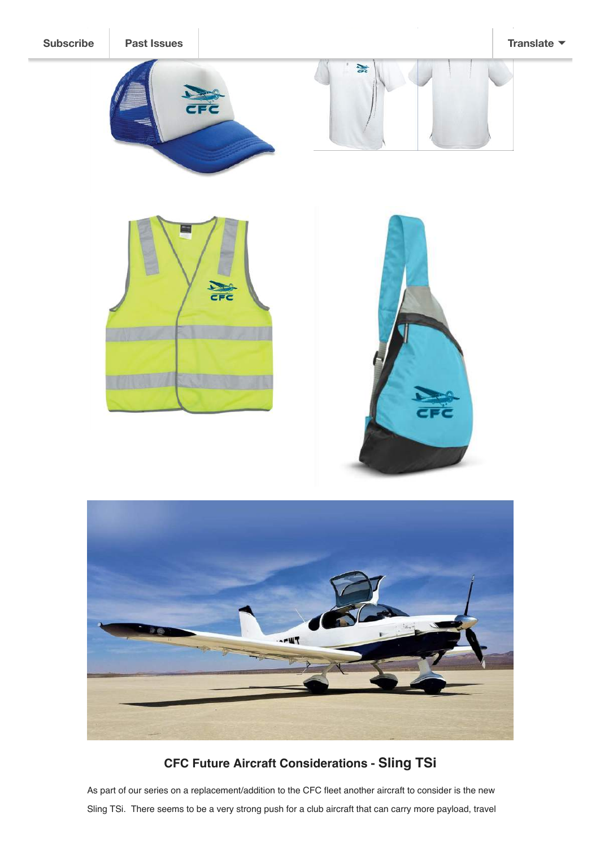



**CFC Future Aircraft Considerations - Sling TSi**

As part of our series on a replacement/addition to the CFC fleet another aircraft to consider is the new Sling TSi. There seems to be a very strong push for a club aircraft that can carry more payload, travel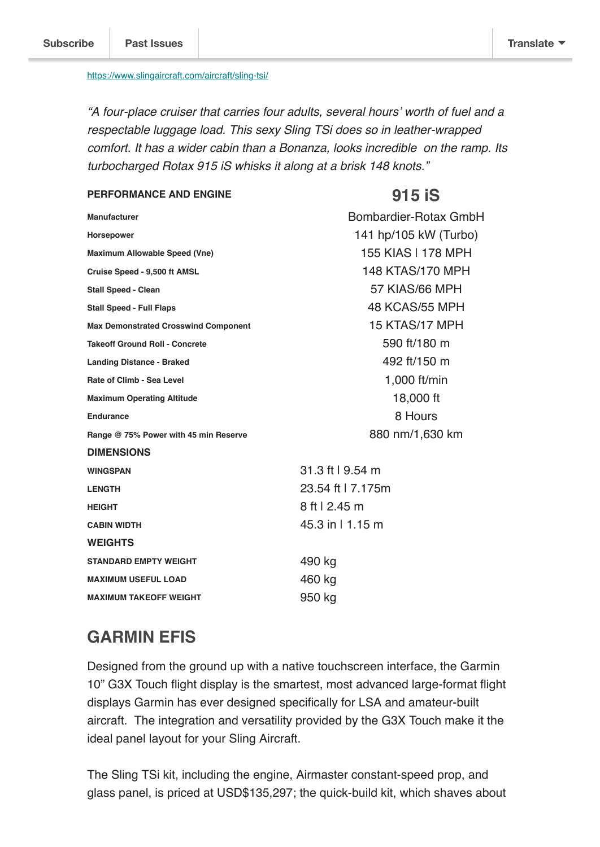#### <https://www.slingaircraft.com/aircraft/sling-tsi/>

*"A four-place cruiser that carries four adults, several hours' worth of fuel and a respectable luggage load. This sexy Sling TSi does so in leather-wrapped comfort. It has a wider cabin than a Bonanza, looks incredible on the ramp. Its turbocharged Rotax 915 iS whisks it along at a brisk 148 knots."*

#### **PERFORMANCE AND ENGINE 915 iS**

| <b>Manufacturer</b>                         | Bombardier-Rotax GmbH |
|---------------------------------------------|-----------------------|
| <b>Horsepower</b>                           | 141 hp/105 kW (Turbo) |
| Maximum Allowable Speed (Vne)               | 155 KIAS I 178 MPH    |
| Cruise Speed - 9,500 ft AMSL                | 148 KTAS/170 MPH      |
| <b>Stall Speed - Clean</b>                  | 57 KIAS/66 MPH        |
| <b>Stall Speed - Full Flaps</b>             | 48 KCAS/55 MPH        |
| <b>Max Demonstrated Crosswind Component</b> | 15 KTAS/17 MPH        |
| <b>Takeoff Ground Roll - Concrete</b>       | 590 ft/180 m          |
| <b>Landing Distance - Braked</b>            | 492 ft/150 m          |
| Rate of Climb - Sea Level                   | 1,000 ft/min          |
| <b>Maximum Operating Altitude</b>           | 18,000 ft             |
| <b>Endurance</b>                            | 8 Hours               |
| Range @ 75% Power with 45 min Reserve       | 880 nm/1,630 km       |
| <b>DIMENSIONS</b>                           |                       |
| <b>WINGSPAN</b>                             | 31.3 ft   9.54 m      |
| <b>LENGTH</b>                               | 23.54 ft   7.175m     |
| <b>HEIGHT</b>                               | 8 ft   2.45 m         |
| <b>CABIN WIDTH</b>                          | 45.3 in   1.15 m      |
| <b>WEIGHTS</b>                              |                       |
| <b>STANDARD EMPTY WEIGHT</b>                | 490 kg                |
| <b>MAXIMUM USEFUL LOAD</b>                  | 460 kg                |
| <b>MAXIMUM TAKEOFF WEIGHT</b>               | 950 kg                |

## **GARMIN EFIS**

Designed from the ground up with a native touchscreen interface, the Garmin 10" G3X Touch flight display is the smartest, most advanced large-format flight displays Garmin has ever designed specifically for LSA and amateur-built aircraft. The integration and versatility provided by the G3X Touch make it the ideal panel layout for your Sling Aircraft.

The Sling TSi kit, including the engine, Airmaster constant-speed prop, and glass panel, is priced at USD\$135,297; the quick-build kit, which shaves about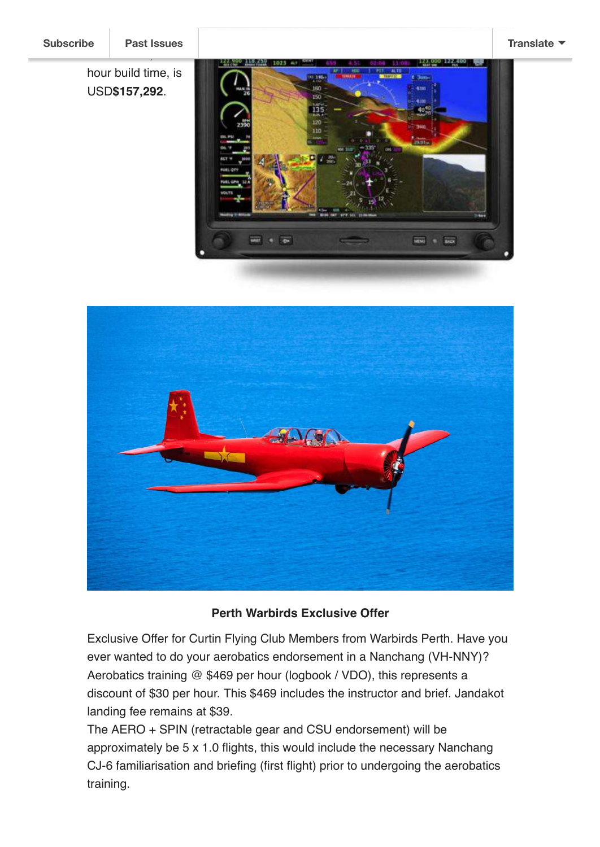hour build time, is USD**\$157,292**.

estimated 1,200-





### **Perth Warbirds Exclusive Offer**

Exclusive Offer for Curtin Flying Club Members from Warbirds Perth. Have you ever wanted to do your aerobatics endorsement in a Nanchang (VH-NNY)? Aerobatics training @ \$469 per hour (logbook / VDO), this represents a discount of \$30 per hour. This \$469 includes the instructor and brief. Jandakot landing fee remains at \$39.

The AERO + SPIN (retractable gear and CSU endorsement) will be approximately be 5 x 1.0 flights, this would include the necessary Nanchang CJ-6 familiarisation and briefing (first flight) prior to undergoing the aerobatics training.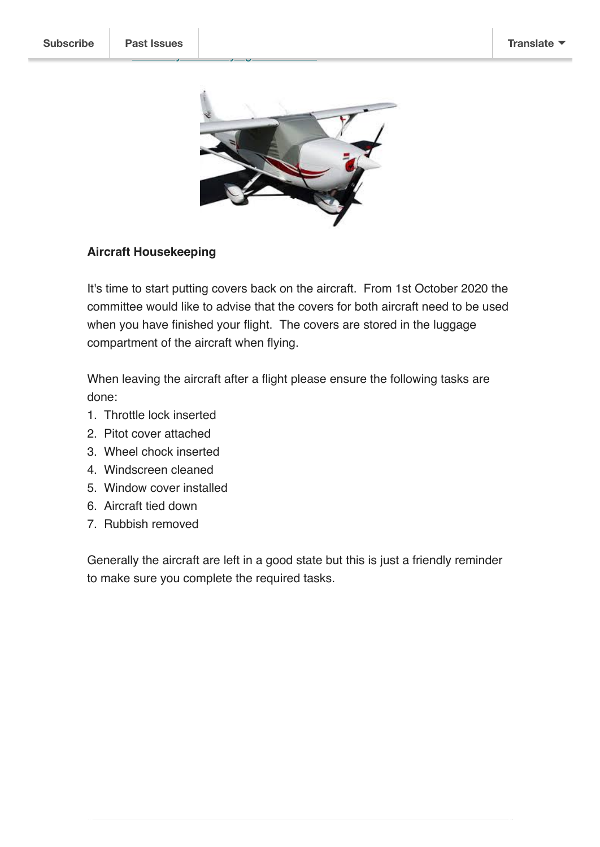

Con[tact](https://us20.campaign-archive.com/home/?u=3afafa1ce8303d8f407855a13&id=6f59086b82) [secretary@curtinflyingclub.com.au](mailto:secretary@curtinflyingclub.com.au?subject=Nanchang&body=Hi%20Chris%2C%0ACan%20you%20send%20me%20some%20more%20information%20about%20the%20Nanchang%20deal%3F) for more details.

#### **Aircraft Housekeeping**

It's time to start putting covers back on the aircraft. From 1st October 2020 the committee would like to advise that the covers for both aircraft need to be used when you have finished your flight. The covers are stored in the luggage compartment of the aircraft when flying.

When leaving the aircraft after a flight please ensure the following tasks are done:

- 1. Throttle lock inserted
- 2. Pitot cover attached
- 3. Wheel chock inserted
- 4. Windscreen cleaned
- 5. Window cover installed
- 6. Aircraft tied down
- 7. Rubbish removed

Generally the aircraft are left in a good state but this is just a friendly reminder to make sure you complete the required tasks.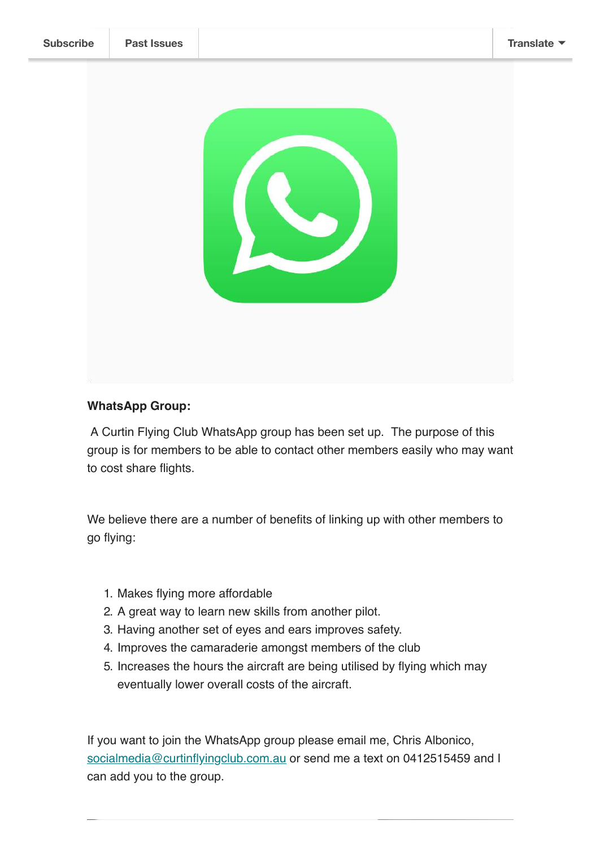

### **WhatsApp Group:**

 A Curtin Flying Club WhatsApp group has been set up. The purpose of this group is for members to be able to contact other members easily who may want to cost share flights.

We believe there are a number of benefits of linking up with other members to go flying:

- 1. Makes flying more affordable
- 2. A great way to learn new skills from another pilot.
- 3. Having another set of eyes and ears improves safety.
- 4. Improves the camaraderie amongst members of the club
- 5. Increases the hours the aircraft are being utilised by flying which may eventually lower overall costs of the aircraft.

If you want to join the WhatsApp group please email me, Chris Albonico, [socialmedia@curtinflyingclub.com.au](mailto:socialmedia@curtinflyingclub.com.au?subject=Add%20me%20to%20Curtin%20WhatsApp!&body=Hi%20Chris%0ACan%20you%20please%20add%20me%20to%20the%20Curtin%20WhatsApp%20group.%20%20My%20mobile%20number%20is%3A%20%20) or send me a text on 0412515459 and I can add you to the group.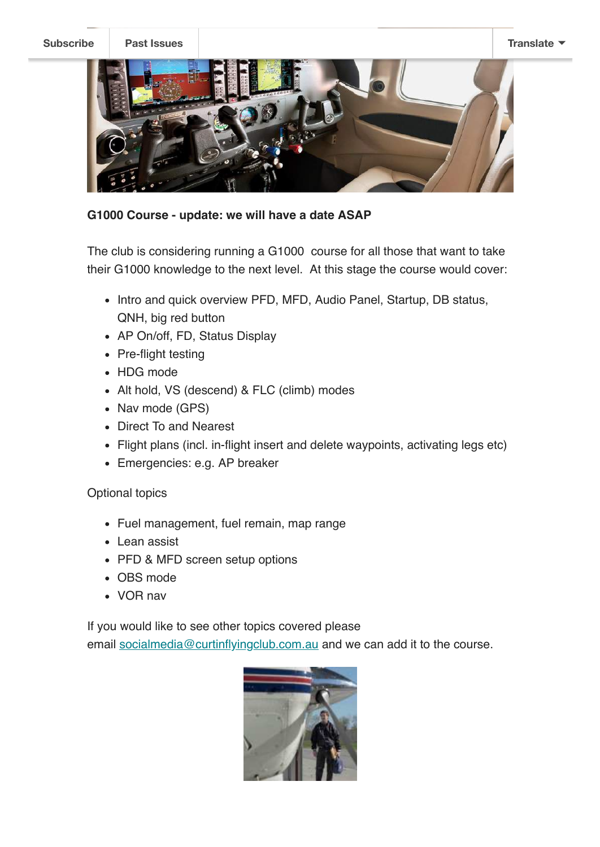

#### **G1000 Course - update: we will have a date ASAP**

The club is considering running a G1000 course for all those that want to take their G1000 knowledge to the next level. At this stage the course would cover:

- Intro and quick overview PFD, MFD, Audio Panel, Startup, DB status, QNH, big red button
- AP On/off, FD, Status Display
- Pre-flight testing
- HDG mode
- Alt hold, VS (descend) & FLC (climb) modes
- Nav mode (GPS)
- Direct To and Nearest
- Flight plans (incl. in-flight insert and delete waypoints, activating legs etc)
- Emergencies: e.g. AP breaker

### Optional topics

- Fuel management, fuel remain, map range
- Lean assist
- PFD & MFD screen setup options
- OBS mode
- VOR nav

If you would like to see other topics covered please

email [socialmedia@curtinflyingclub.com.au](mailto:socialmedia@curtinflyingclub.com.au?subject=Add%20me%20to%20Curtin%20WhatsApp!&body=Hi%20Chris%0ACan%20you%20please%20add%20me%20to%20the%20Curtin%20WhatsApp%20group.%20%20My%20mobile%20number%20is%3A%20%20) and we can add it to the course.

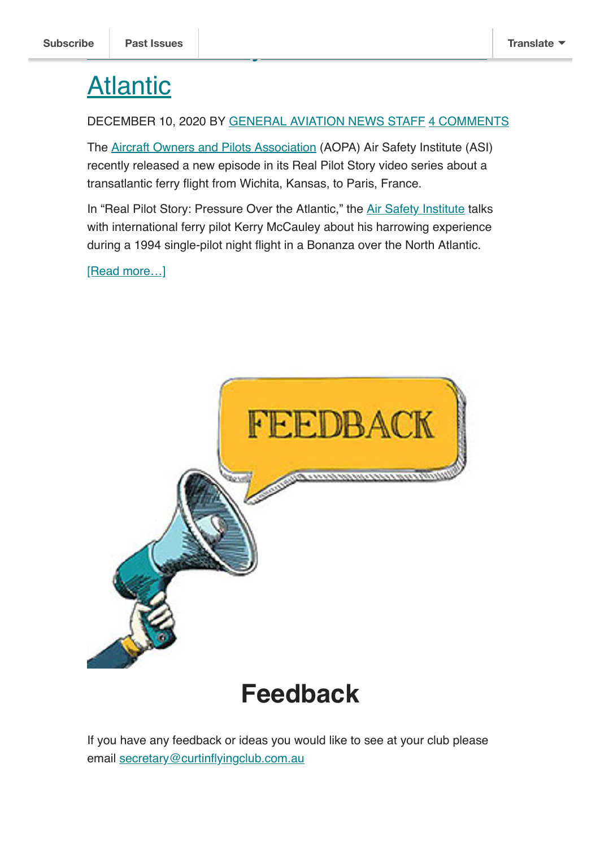# **Atlantic**

#### DECEMBER 10, 2020 BY [GENERAL AVIATION NEWS STAFF](https://generalaviationnews.com/author/ganstaff/) [4 COMMENTS](https://generalaviationnews.com/2020/12/10/real-pilot-story-pressure-over-the-atlantic/#comments)

The [Aircraft Owners and Pilots Association](http://www.aopa.org/) (AOPA) Air Safety Institute (ASI) recently released a new episode in its Real Pilot Story video series about a transatlantic ferry flight from Wichita, Kansas, to Paris, France.

In "Real Pilot Story: Pressure Over the Atlantic," the [Air Safety Institute](https://www.aopa.org/training-and-safety/air-safety-institute) talks with international ferry pilot Kerry McCauley about his harrowing experience during a 1994 single-pilot night flight in a Bonanza over the North Atlantic.

[Read more...]



## **Feedback**

If you have any feedback or ideas you would like to see at your club please email [secretary@curtinflyingclub.com.au](mailto:secretary@curtinflyingclub.com.au?subject=Feedback)